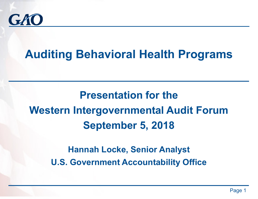

# **Auditing Behavioral Health Programs**

# **Presentation for the Western Intergovernmental Audit Forum September 5, 2018**

**Hannah Locke, Senior Analyst U.S. Government Accountability Office**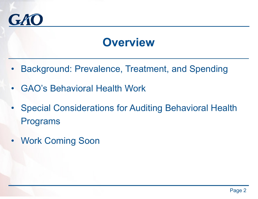

### **Overview**

- Background: Prevalence, Treatment, and Spending
- GAO's Behavioral Health Work
- Special Considerations for Auditing Behavioral Health Programs
- Work Coming Soon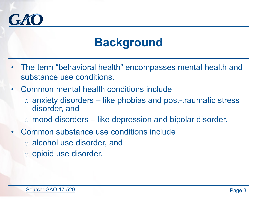

- The term "behavioral health" encompasses mental health and substance use conditions.
- Common mental health conditions include
	- o anxiety disorders like phobias and post-traumatic stress disorder, and
	- o mood disorders like depression and bipolar disorder.
- Common substance use conditions include o alcohol use disorder, and o opioid use disorder.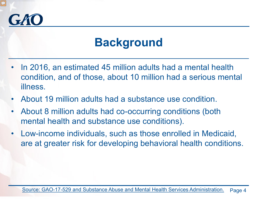

- In 2016, an estimated 45 million adults had a mental health condition, and of those, about 10 million had a serious mental illness.
- About 19 million adults had a substance use condition.
- About 8 million adults had co-occurring conditions (both mental health and substance use conditions).
- Low-income individuals, such as those enrolled in Medicaid, are at greater risk for developing behavioral health conditions.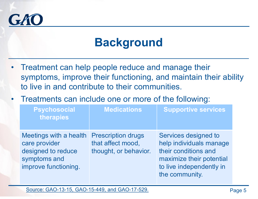

- Treatment can help people reduce and manage their symptoms, improve their functioning, and maintain their ability to live in and contribute to their communities.
- Treatments can include one or more of the following:

| <b>Psychosocial</b><br>therapies                                                                      | <b>Medications</b>                                                      | <b>Supportive services</b>                                                                                                                        |
|-------------------------------------------------------------------------------------------------------|-------------------------------------------------------------------------|---------------------------------------------------------------------------------------------------------------------------------------------------|
| Meetings with a health<br>care provider<br>designed to reduce<br>symptoms and<br>improve functioning. | <b>Prescription drugs</b><br>that affect mood,<br>thought, or behavior. | Services designed to<br>help individuals manage<br>their conditions and<br>maximize their potential<br>to live independently in<br>the community. |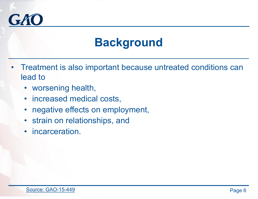

- Treatment is also important because untreated conditions can lead to
	- worsening health,
	- increased medical costs,
	- negative effects on employment,
	- strain on relationships, and
	- incarceration.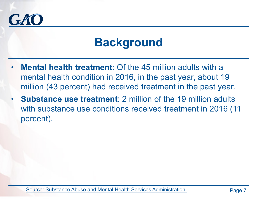

- **Mental health treatment**: Of the 45 million adults with a mental health condition in 2016, in the past year, about 19 million (43 percent) had received treatment in the past year.
- **Substance use treatment**: 2 million of the 19 million adults with substance use conditions received treatment in 2016 (11 percent).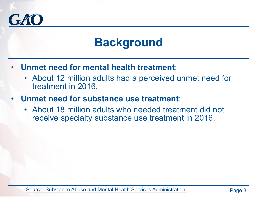

- **Unmet need for mental health treatment**:
	- About 12 million adults had a perceived unmet need for treatment in 2016.
- **Unmet need for substance use treatment**:
	- About 18 million adults who needed treatment did not receive specialty substance use treatment in 2016.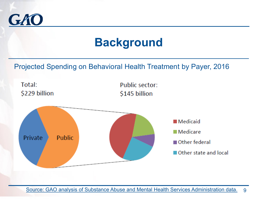

Projected Spending on Behavioral Health Treatment by Payer, 2016

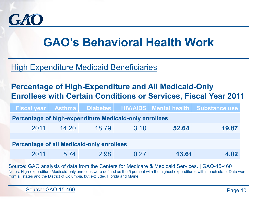

### High Expenditure Medicaid Beneficiaries

### **Percentage of High-Expenditure and All Medicaid-Only Enrollees with Certain Conditions or Services, Fiscal Year 2011**

|                                                               |       |       |      |       | Fiscal year   Asthma   Diabetes   HIV/AIDS   Mental health   Substance use |
|---------------------------------------------------------------|-------|-------|------|-------|----------------------------------------------------------------------------|
| <b>Percentage of high-expenditure Medicaid-only enrollees</b> |       |       |      |       |                                                                            |
| 2011                                                          | 14.20 | 18.79 | 3.10 | 52.64 | 19.87                                                                      |
|                                                               |       |       |      |       |                                                                            |
| <b>Percentage of all Medicaid-only enrollees</b>              |       |       |      |       |                                                                            |
| 2011                                                          | 5.74  | 2.98  | 0.27 | 13.61 | 4.02                                                                       |

Source: GAO analysis of data from the Centers for Medicare & Medicaid Services. | GAO-15-460 Notes: High-expenditure Medicaid-only enrollees were defined as the 5 percent with the highest expenditures within each state. Data were from all states and the District of Columbia, but excluded Florida and Maine.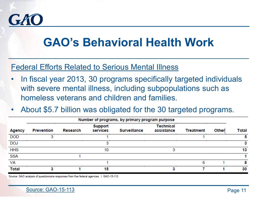

### Federal Efforts Related to Serious Mental Illness

- In fiscal year 2013, 30 programs specifically targeted individuals with severe mental illness, including subpopulations such as homeless veterans and children and families.
- About \$5.7 billion was obligated for the 30 targeted programs.

| Number of programs, by primary program purpose |                   |          |                     |                     |                                |                  |       |              |
|------------------------------------------------|-------------------|----------|---------------------|---------------------|--------------------------------|------------------|-------|--------------|
| Agency                                         | <b>Prevention</b> | Research | Support<br>services | <b>Surveillance</b> | <b>Technical</b><br>assistance | <b>Treatment</b> | Other | <b>Total</b> |
| <b>DOD</b>                                     |                   |          |                     |                     |                                |                  |       | 5            |
| <b>DOJ</b>                                     |                   |          |                     |                     |                                |                  |       | 3            |
| <b>HHS</b>                                     |                   |          | 10                  |                     | з                              |                  |       | 13           |
| <b>SSA</b>                                     |                   |          |                     |                     |                                |                  |       |              |
| VA                                             |                   |          |                     |                     |                                | հ                |       | 8            |
| <b>Total</b>                                   |                   |          | 15                  |                     |                                |                  |       | 30           |

Source: GAO analysis of questionnaire responses from five federal agencies. | GAO-15-113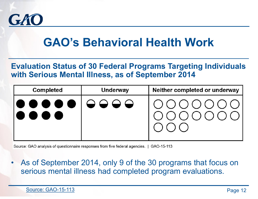

#### **Evaluation Status of 30 Federal Programs Targeting Individuals with Serious Mental Illness, as of September 2014**

| <b>Completed</b>                                                                                                                                    | <b>Underway</b> | Neither completed or underway |  |  |
|-----------------------------------------------------------------------------------------------------------------------------------------------------|-----------------|-------------------------------|--|--|
| $\begin{array}{c c c c c c c c c} \bullet & \bullet & \bullet & \bullet & \bullet & \bullet & \bullet\end{array}$<br>$\bullet\bullet\bullet\bullet$ |                 | 0000000<br>000000             |  |  |

Source: GAO analysis of questionnaire responses from five federal agencies. | GAO-15-113

As of September 2014, only 9 of the 30 programs that focus on serious mental illness had completed program evaluations.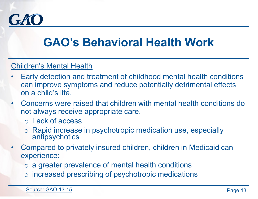

#### Children's Mental Health

- Early detection and treatment of childhood mental health conditions can improve symptoms and reduce potentially detrimental effects on a child's life.
- Concerns were raised that children with mental health conditions do not always receive appropriate care.
	- o Lack of access
	- o Rapid increase in psychotropic medication use, especially antipsychotics
- Compared to privately insured children, children in Medicaid can experience:
	- o a greater prevalence of mental health conditions
	- o increased prescribing of psychotropic medications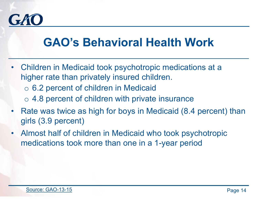

- Children in Medicaid took psychotropic medications at a higher rate than privately insured children.
	- o 6.2 percent of children in Medicaid
	- $\circ$  4.8 percent of children with private insurance
- Rate was twice as high for boys in Medicaid (8.4 percent) than girls (3.9 percent)
- Almost half of children in Medicaid who took psychotropic medications took more than one in a 1-year period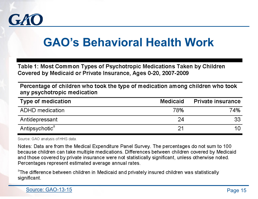

Table 1: Most Common Types of Psychotropic Medications Taken by Children Covered by Medicaid or Private Insurance, Ages 0-20, 2007-2009

Percentage of children who took the type of medication among children who took any psychotropic medication

| Type of medication         | <b>Medicaid</b> | <b>Private insurance</b> |
|----------------------------|-----------------|--------------------------|
| ADHD medication            | 78%             | 74%                      |
| Antidepressant             | 24              | 33                       |
| Antipsychotic <sup>a</sup> | 21              |                          |

Source: GAO analysis of HHS data.

Notes: Data are from the Medical Expenditure Panel Survey. The percentages do not sum to 100 because children can take multiple medications. Differences between children covered by Medicaid and those covered by private insurance were not statistically significant, unless otherwise noted. Percentages represent estimated average annual rates.

<sup>a</sup>The difference between children in Medicaid and privately insured children was statistically significant.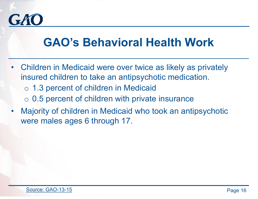

- Children in Medicaid were over twice as likely as privately insured children to take an antipsychotic medication. o 1.3 percent of children in Medicaid
	- $\circ$  0.5 percent of children with private insurance
- Majority of children in Medicaid who took an antipsychotic were males ages 6 through 17.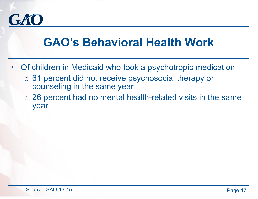

- Of children in Medicaid who took a psychotropic medication
	- o 61 percent did not receive psychosocial therapy or counseling in the same year
	- o 26 percent had no mental health-related visits in the same year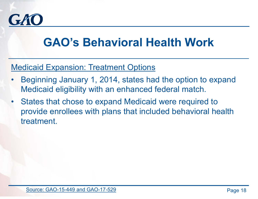

### Medicaid Expansion: Treatment Options

- Beginning January 1, 2014, states had the option to expand Medicaid eligibility with an enhanced federal match.
- States that chose to expand Medicaid were required to provide enrollees with plans that included behavioral health treatment.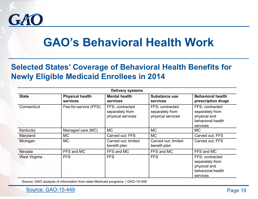

### **Selected States' Coverage of Behavioral Health Benefits for Newly Eligible Medicaid Enrollees in 2014**

| <b>Delivery systems</b> |                                    |                                                         |                                                         |                                                                                     |  |  |
|-------------------------|------------------------------------|---------------------------------------------------------|---------------------------------------------------------|-------------------------------------------------------------------------------------|--|--|
| <b>State</b>            | <b>Physical health</b><br>services | <b>Mental health</b><br>services                        | <b>Substance use</b><br>services                        | <b>Behavioral health</b><br>prescription drugs                                      |  |  |
| Connecticut             | Fee-for-service (FFS)              | FFS; contracted<br>separately from<br>physical services | FFS; contracted<br>separately from<br>physical services | FFS; contracted<br>separately from<br>physical and<br>behavioral health<br>services |  |  |
| Kentucky                | Managed care (MC)                  | <b>MC</b>                                               | <b>MC</b>                                               | МC                                                                                  |  |  |
| Maryland                | <b>MC</b>                          | Carved out; FFS                                         | <b>MC</b>                                               | Carved out; FFS                                                                     |  |  |
| Michigan                | <b>MC</b>                          | Carved out; limited<br>benefit plan                     | Carved out; limited<br>benefit plan                     | Carved out; FFS                                                                     |  |  |
| <b>Nevada</b>           | FFS and MC                         | FFS and MC                                              | FFS and MC                                              | FFS and MC                                                                          |  |  |
| West Virginia           | <b>FFS</b>                         | <b>FFS</b>                                              | <b>FFS</b>                                              | FFS; contracted<br>separately from<br>physical and<br>behavioral health<br>services |  |  |

Source: GAO analysis of information from state Medicaid programs. | GAO-15-449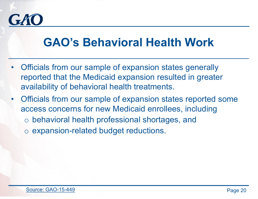

- Officials from our sample of expansion states generally reported that the Medicaid expansion resulted in greater availability of behavioral health treatments.
- Officials from our sample of expansion states reported some access concerns for new Medicaid enrollees, including o behavioral health professional shortages, and o expansion-related budget reductions.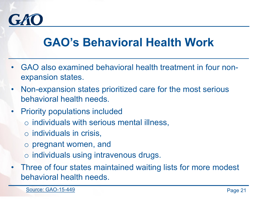

- GAO also examined behavioral health treatment in four nonexpansion states.
- Non-expansion states prioritized care for the most serious behavioral health needs.
- Priority populations included
	- o individuals with serious mental illness,
	- o individuals in crisis,
	- o pregnant women, and
	- o individuals using intravenous drugs.
	- Three of four states maintained waiting lists for more modest behavioral health needs.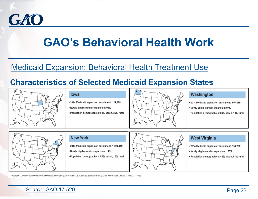

### Medicaid Expansion: Behavioral Health Treatment Use

#### **Characteristics of Selected Medicaid Expansion States**



- lowa
- 2014 Medicaid expansion enrollment: 121,275
- Newly eligible under expansion: 93%
- . Population demographics: 64% urban, 36% rural



#### Washington

- · 2014 Medicaid expansion enrollment: 507,469
- · Newly eligible under expansion: 97%
- · Population demographics: 84% urban, 16% rural



#### **New York**

- 2014 Medicaid expansion enrollment: 1,494,419
- Newly eligible under expansion: 14%
- · Population demographics: 88% urban, 12% rural



#### **West Virginia**

- 2014 Medicaid expansion enrollment: 154,292
- Newly eligible under expansion: 100%
- Population demographics: 49% urban, 51% rural

Sources; Centers for Medicare & Medicaid Services (CMS) and U.S. Census Bureau (data); Map Resources (map). | GAO-17-529

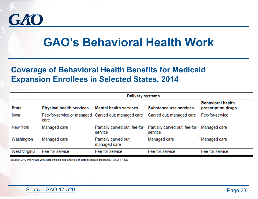

### **Coverage of Behavioral Health Benefits for Medicaid Expansion Enrollees in Selected States, 2014**

| <b>Delivery systems</b> |                                                             |                                       |                                                                          |                                                |  |
|-------------------------|-------------------------------------------------------------|---------------------------------------|--------------------------------------------------------------------------|------------------------------------------------|--|
| <b>State</b>            | <b>Physical health services</b>                             | <b>Mental health services</b>         | Substance use services                                                   | <b>Behavioral health</b><br>prescription drugs |  |
| lowa                    | Fee-for-service or managed Carved out; managed care<br>care |                                       | Carved out; managed care                                                 | Fee-for-service                                |  |
| New York                | Managed care                                                | service                               | Partially carved out; fee-for- Partially carved out; fee-for-<br>service | Managed care                                   |  |
| Washington              | Managed care                                                | Partially carved out;<br>managed care | Managed care                                                             | Managed care                                   |  |
| West Virginia           | Fee-for-service                                             | Fee-for-service                       | Fee-for-service                                                          | Fee-for-service                                |  |

Source: GAO interviews with state officials and analysis of state Medicaid programs. | GAO-17-529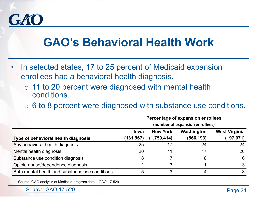

- In selected states, 17 to 25 percent of Medicaid expansion enrollees had a behavioral health diagnosis.
	- o 11 to 20 percent were diagnosed with mental health conditions.
	- o 6 to 8 percent were diagnosed with substance use conditions.

**Percentage of expansion enrollees**

|                                                 | (number of expansion enrollees)                                                                                |    |    |    |  |  |  |
|-------------------------------------------------|----------------------------------------------------------------------------------------------------------------|----|----|----|--|--|--|
| Type of behavioral health diagnosis             | <b>New York</b><br>Washington<br><b>West Virginia</b><br><b>lowa</b><br>(566, 193)<br>(1,759,414)<br>(131,967) |    |    |    |  |  |  |
| Any behavioral health diagnosis                 | 25                                                                                                             |    | 24 | 24 |  |  |  |
| Mental health diagnosis                         | 20                                                                                                             | 11 |    | 20 |  |  |  |
| Substance use condition diagnosis               | 8                                                                                                              |    |    | 6  |  |  |  |
| Opioid abuse/dependence diagnosis               |                                                                                                                |    |    |    |  |  |  |
| Both mental health and substance use conditions | 5                                                                                                              |    |    |    |  |  |  |

Source: GAO analysis of Medicaid program data. | GAO-17-529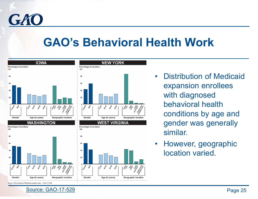



- Distribution of Medicaid expansion enrollees with diagnosed behavioral health conditions by age and gender was generally similar.
- However, geographic location varied.

Source: GAO-17-529 Page 25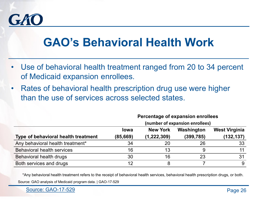

- Use of behavioral health treatment ranged from 20 to 34 percent of Medicaid expansion enrollees.
- Rates of behavioral health prescription drug use were higher than the use of services across selected states.

|                                     | Percentage of expansion enrollees |                 |            |                      |  |  |  |
|-------------------------------------|-----------------------------------|-----------------|------------|----------------------|--|--|--|
|                                     | (number of expansion enrollees)   |                 |            |                      |  |  |  |
|                                     | lowa                              | <b>New York</b> | Washington | <b>West Virginia</b> |  |  |  |
| Type of behavioral health treatment | (85, 669)                         | (1, 222, 309)   | (399, 785) | (132, 137)           |  |  |  |
| Any behavioral health treatment*    | 34                                | 20              | 26         | 33                   |  |  |  |
| <b>Behavioral health services</b>   | 16                                | 13              | 9          |                      |  |  |  |
| Behavioral health drugs             | 30                                | 16              | 23         | 31                   |  |  |  |
| Both services and drugs             | 12                                | 8               |            | 9                    |  |  |  |

\*Any behavioral health treatment refers to the receipt of behavioral health services, behavioral health prescription drugs, or both. Source: GAO analysis of Medicaid program data. | GAO-17-529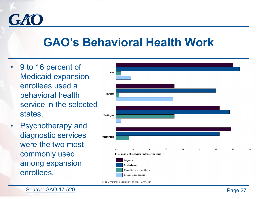

- 9 to 16 percent of Medicaid expansion enrollees used a behavioral health service in the selected states.
- Psychotherapy and diagnostic services were the two most commonly used among expansion enrollees.



Source: GAO analysis of Medicaid program data. | GAO-17-529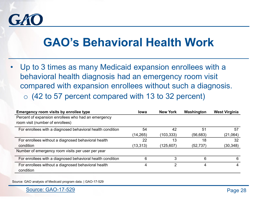

• Up to 3 times as many Medicaid expansion enrollees with a behavioral health diagnosis had an emergency room visit compared with expansion enrollees without such a diagnosis.  $\circ$  (42 to 57 percent compared with 13 to 32 percent)

| <b>Emergency room visits by enrollee type</b>              | <b>lowa</b> | <b>New York</b> | Washington | <b>West Virginia</b> |
|------------------------------------------------------------|-------------|-----------------|------------|----------------------|
| Percent of expansion enrollees who had an emergency        |             |                 |            |                      |
| room visit (number of enrollees)                           |             |                 |            |                      |
| For enrollees with a diagnosed behavioral health condition | 54          | 42              | 51         | 57                   |
|                                                            | (14, 265)   | (103,333)       | (56, 683)  | (21,064)             |
| For enrollees without a diagnosed behavioral health        | 22          | 13              | 18         | 32                   |
| condition                                                  | (13, 313)   | (125,607)       | (52, 737)  | (30, 348)            |
| Number of emergency room visits per user per year          |             |                 |            |                      |
| For enrollees with a diagnosed behavioral health condition | 6           | 3               | 6          | 6                    |
| For enrollees without a diagnosed behavioral health        | 4           | 2               | 4          | 4                    |
| condition                                                  |             |                 |            |                      |

Source: GAO analysis of Medicaid program data. | GAO-17-529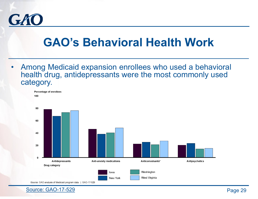

• Among Medicaid expansion enrollees who used a behavioral health drug, antidepressants were the most commonly used category.





Percentage of enrollees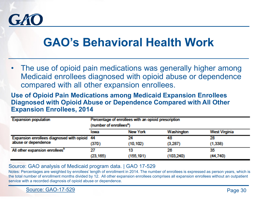

• The use of opioid pain medications was generally higher among Medicaid enrollees diagnosed with opioid abuse or dependence compared with all other expansion enrollees.

**Use of Opioid Pain Medications among Medicaid Expansion Enrollees Diagnosed with Opioid Abuse or Dependence Compared with All Other Expansion Enrollees, 2014**

| <b>Expansion population</b>                  | Percentage of enrollees with an opioid prescription |            |            |                      |  |  |
|----------------------------------------------|-----------------------------------------------------|------------|------------|----------------------|--|--|
|                                              | (number of enrollees")                              |            |            |                      |  |  |
|                                              | lowa                                                | New York   | Washington | <b>West Virginia</b> |  |  |
| Expansion enrollees diagnosed with opioid 44 |                                                     | 24         | 48         | 28                   |  |  |
| abuse or dependence                          | (370)                                               | (10, 102)  | (3,287)    | (1,338)              |  |  |
| All other expansion enrollees <sup>®</sup>   | 27                                                  | 13         | 26         | 35                   |  |  |
|                                              | (23, 165)                                           | (155, 191) | (103, 240) | (44, 740)            |  |  |

#### Source: GAO analysis of Medicaid program data. | GAO 17-529

Notes: Percentages are weighted by enrollees' length of enrollment in 2014. The number of enrollees is expressed as person years, which is the total number of enrollment months divided by 12. All other expansion enrollees comprises all expansion enrollees without an outpatient service with a recorded diagnosis of opioid abuse or dependence.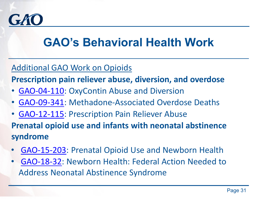

### Additional GAO Work on Opioids

**Prescription pain reliever abuse, diversion, and overdose**

- [GAO-04-110](https://www.gao.gov/products/GAO-04-110): OxyContin Abuse and Diversion
- [GAO-09-341](https://www.gao.gov/products/GAO-09-341): Methadone-Associated Overdose Deaths
- [GAO-12-115](https://www.gao.gov/products/GAO-12-115): Prescription Pain Reliever Abuse **Prenatal opioid use and infants with neonatal abstinence syndrome**
- [GAO-15-203:](https://www.gao.gov/products/GAO-15-203) Prenatal Opioid Use and Newborn Health
- [GAO-18-32:](https://www.gao.gov/products/GAO-18-32) Newborn Health: Federal Action Needed to Address Neonatal Abstinence Syndrome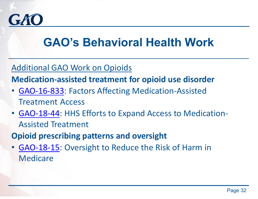

### Additional GAO Work on Opioids

**Medication-assisted treatment for opioid use disorder** 

- [GAO-16-833](https://www.gao.gov/products/GAO-16-833): Factors Affecting Medication-Assisted Treatment Access
- [GAO-18-44](https://www.gao.gov/products/GAO-18-44): HHS Efforts to Expand Access to Medication-Assisted Treatment
- **Opioid prescribing patterns and oversight**
- [GAO-18-15](https://www.gao.gov/products/GAO-18-15): Oversight to Reduce the Risk of Harm in Medicare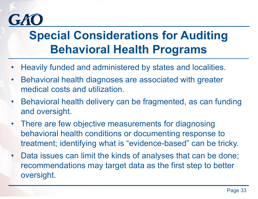# GAL

# **Special Considerations for Auditing Behavioral Health Programs**

- Heavily funded and administered by states and localities.
- Behavioral health diagnoses are associated with greater medical costs and utilization.
- Behavioral health delivery can be fragmented, as can funding and oversight.
- There are few objective measurements for diagnosing behavioral health conditions or documenting response to treatment; identifying what is "evidence-based" can be tricky.
- Data issues can limit the kinds of analyses that can be done; recommendations may target data as the first step to better oversight.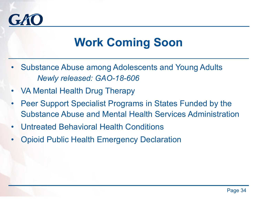

# **Work Coming Soon**

- Substance Abuse among Adolescents and Young Adults *Newly released: GAO-18-606*
- VA Mental Health Drug Therapy
- Peer Support Specialist Programs in States Funded by the Substance Abuse and Mental Health Services Administration
- Untreated Behavioral Health Conditions
- Opioid Public Health Emergency Declaration